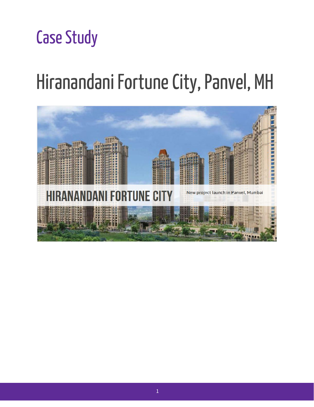# **Case Study**

# Hiranandani Fortune City, Panvel, MH

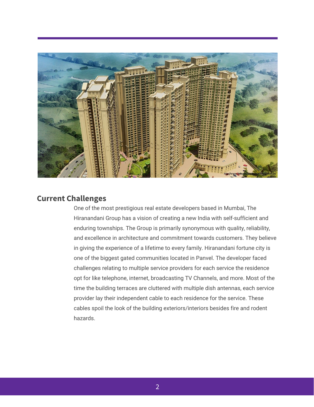

## **Current Challenges**

One of the most prestigious real estate developers based in Mumbai, The Hiranandani Group has a vision of creating a new India with self-sufficient and enduring townships. The Group is primarily synonymous with quality, reliability, and excellence in architecture and commitment towards customers. They believe in giving the experience of a lifetime to every family. Hiranandani fortune city is one of the biggest gated communities located in Panvel. The developer faced challenges relating to multiple service providers for each service the residence opt for like telephone, internet, broadcasting TV Channels, and more. Most of the time the building terraces are cluttered with multiple dish antennas, each service provider lay their independent cable to each residence for the service. These cables spoil the look of the building exteriors/interiors besides fire and rodent hazards.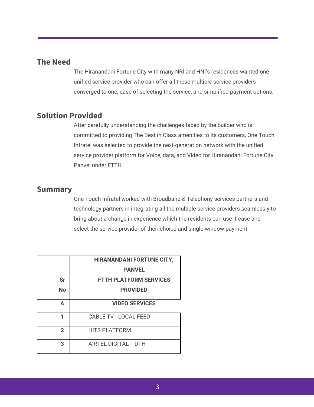#### **The Need**

The Hiranandani Fortune City with many NRI and HNI's residences wanted one unified service provider who can offer all these multiple-service providers converged to one, ease of selecting the service, and simplified payment options.

## **Solution Provided**

After carefully understanding the challenges faced by the builder who is committed to providing The Best in Class amenities to its customers, One Touch Infratel was selected to provide the next-generation network with the unified service provider platform for Voice, data, and Video for Hiranandani Fortune City Panvel under FTTH.

#### **Summary**

One Touch Infratel worked with Broadband & Telephony services partners and technology partners in integrating all the multiple service providers seamlessly to bring about a change in experience which the residents can use it ease and select the service provider of their choice and single window payment.

|                | <b>HIRANANDANI FORTUNE CITY,</b> |
|----------------|----------------------------------|
|                | <b>PANVEL</b>                    |
| <b>Sr</b>      | <b>FTTH PLATFORM SERVICES</b>    |
| <b>No</b>      | <b>PROVIDED</b>                  |
| Δ              | <b>VIDEO SERVICES</b>            |
| 1              | <b>CABLE TV - LOCAL FEED</b>     |
| $\overline{2}$ | <b>HITS PLATFORM</b>             |
| 3              | AIRTEL DIGITAL - DTH             |
|                |                                  |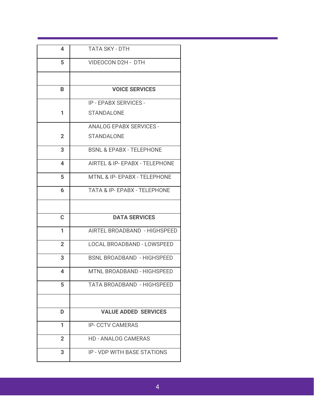| 4              | <b>TATA SKY - DTH</b>                   |
|----------------|-----------------------------------------|
| 5              | <b>VIDEOCON D2H - DTH</b>               |
|                |                                         |
| B              | <b>VOICE SERVICES</b>                   |
|                | <b>IP - EPABX SERVICES -</b>            |
| 1              | <b>STANDALONE</b>                       |
|                | <b>ANALOG EPABX SERVICES -</b>          |
| $\overline{2}$ | <b>STANDALONE</b>                       |
| 3              | <b>BSNL &amp; EPABX - TELEPHONE</b>     |
| 4              | AIRTEL & IP- EPABX - TELEPHONE          |
| 5              | MTNL & IP- EPABX - TELEPHONE            |
| 6              | <b>TATA &amp; IP- EPABX - TELEPHONE</b> |
|                |                                         |
|                |                                         |
| C              | <b>DATA SERVICES</b>                    |
| 1              | AIRTEL BROADBAND - HIGHSPEED            |
| $\overline{2}$ | <b>LOCAL BROADBAND - LOWSPEED</b>       |
| 3              | <b>BSNL BROADBAND - HIGHSPEED</b>       |
| 4              | MTNL BROADBAND - HIGHSPEED              |
| 5              | TATA BROADBAND - HIGHSPEED              |
|                |                                         |
| D              | <b>VALUE ADDED SERVICES</b>             |
| 1              | <b>IP- CCTV CAMERAS</b>                 |
| $\overline{2}$ | <b>HD - ANALOG CAMERAS</b>              |